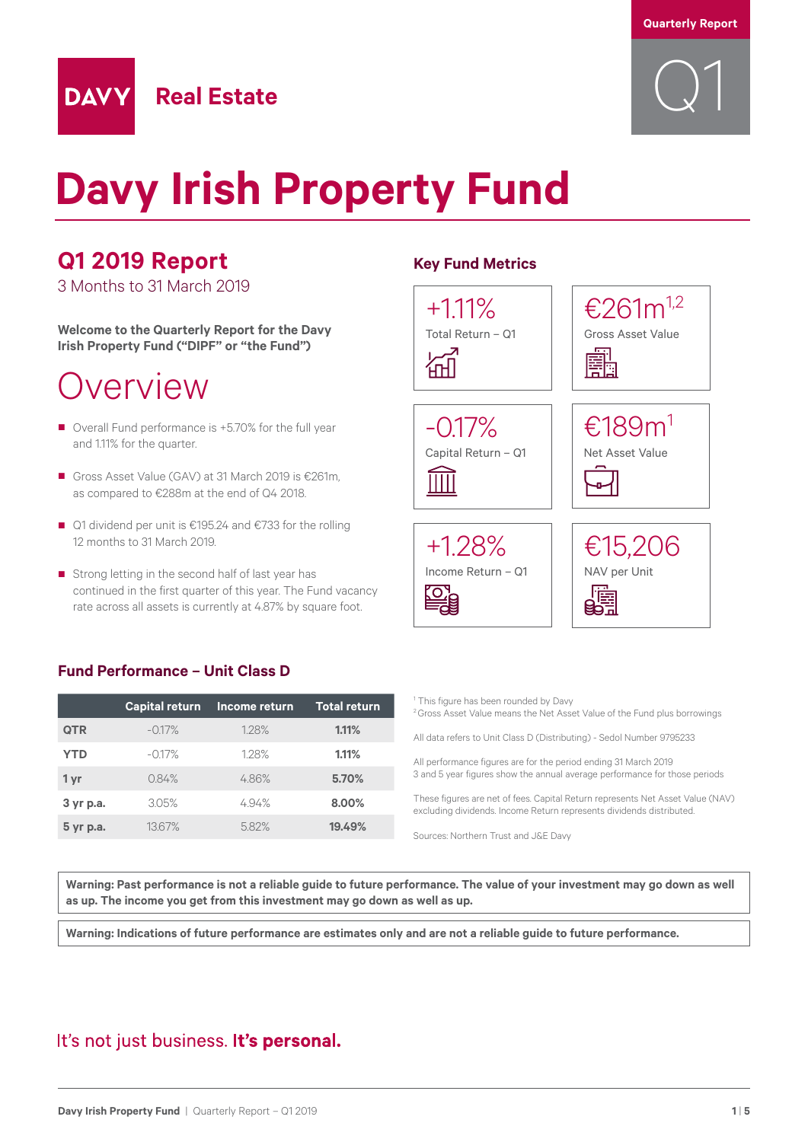

# **Davy Irish Property Fund**

### **Q1 2019 Report**

**DAVY** 

3 Months to 31 March 2019

**Welcome to the Quarterly Report for the Davy Irish Property Fund ("DIPF" or "the Fund")**

**Real Estate**

## Overview

- Overall Fund performance is +5.70% for the full year and 1.11% for the quarter.
- Gross Asset Value (GAV) at 31 March 2019 is €261m. as compared to €288m at the end of Q4 2018.
- Q1 dividend per unit is €195.24 and €733 for the rolling 12 months to 31 March 2019.
- Strong letting in the second half of last year has continued in the first quarter of this year. The Fund vacancy rate across all assets is currently at 4.87% by square foot.

### **Fund Performance – Unit Class D**

|            | <b>Capital return</b> | Income return | <b>Total return</b> |
|------------|-----------------------|---------------|---------------------|
| <b>QTR</b> | $-0.17%$              | 1.28%         | 1.11%               |
| <b>YTD</b> | $-0.17%$              | 128%          | 1.11%               |
| 1 yr       | 084%                  | 486%          | 5.70%               |
| 3 yr p.a.  | 3.05%                 | 494%          | 8.00%               |
| 5 yr p.a.  | 1367%                 | 5.82%         | 19.49%              |

#### **Key Fund Metrics**



<sup>1</sup> This figure has been rounded by Davy <sup>2</sup> Gross Asset Value means the Net Asset Value of the Fund plus borrowings

All data refers to Unit Class D (Distributing) - Sedol Number 9795233

All performance figures are for the period ending 31 March 2019 3 and 5 year figures show the annual average performance for those periods

These figures are net of fees. Capital Return represents Net Asset Value (NAV) excluding dividends. Income Return represents dividends distributed.

Sources: Northern Trust and J&E Davy

**Warning: Past performance is not a reliable guide to future performance. The value of your investment may go down as well as up. The income you get from this investment may go down as well as up.**

**Warning: Indications of future performance are estimates only and are not a reliable guide to future performance.**

### It's not just business. It's personal.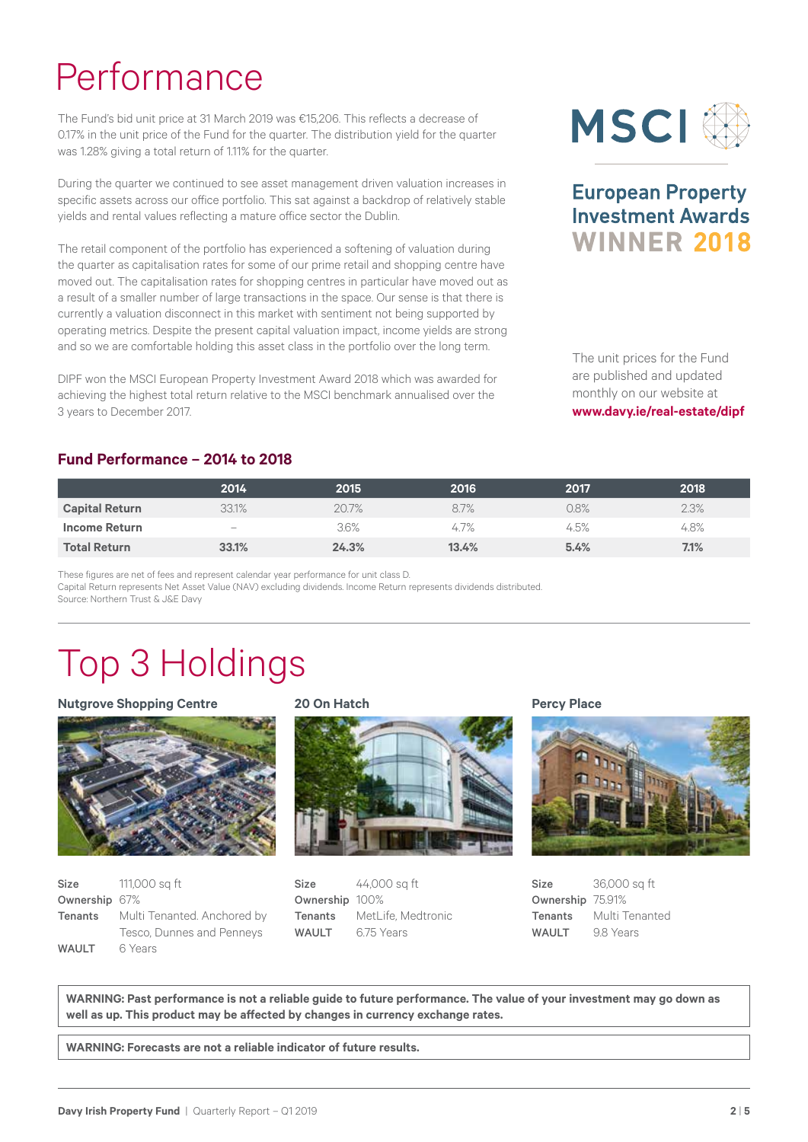# Performance

The Fund's bid unit price at 31 March 2019 was €15,206. This reflects a decrease of 0.17% in the unit price of the Fund for the quarter. The distribution yield for the quarter was 1.28% giving a total return of 1.11% for the quarter.

During the quarter we continued to see asset management driven valuation increases in specific assets across our office portfolio. This sat against a backdrop of relatively stable yields and rental values reflecting a mature office sector the Dublin.

The retail component of the portfolio has experienced a softening of valuation during the quarter as capitalisation rates for some of our prime retail and shopping centre have moved out. The capitalisation rates for shopping centres in particular have moved out as a result of a smaller number of large transactions in the space. Our sense is that there is currently a valuation disconnect in this market with sentiment not being supported by operating metrics. Despite the present capital valuation impact, income yields are strong and so we are comfortable holding this asset class in the portfolio over the long term.

DIPF won the MSCI European Property Investment Award 2018 which was awarded for achieving the highest total return relative to the MSCI benchmark annualised over the 3 years to December 2017.



### **European Property Investment Awards WINNER 2018**

The unit prices for the Fund are published and updated monthly on our website at **www.davy.ie/real-estate/dipf**

#### **Fund Performance – 2014 to 2018**

|                       | 2014   | 2015  | 2016  | 2017 | 2018 |
|-----------------------|--------|-------|-------|------|------|
| <b>Capital Return</b> | 33.1%  | 20.7% | 8.7%  | 0.8% | 2.3% |
| Income Return         | $\sim$ | 3.6%  | 4.7%  | 4.5% | 4.8% |
| <b>Total Return</b>   | 33.1%  | 24.3% | 13.4% | 5.4% | 7.1% |

These figures are net of fees and represent calendar year performance for unit class D. Capital Return represents Net Asset Value (NAV) excluding dividends. Income Return represents dividends distributed. Source: Northern Trust & J&E Davy

# Top 3 Holdings

#### **Nutgrove Shopping Centre**



| Size          | 111,000 sg ft               |
|---------------|-----------------------------|
| Ownership 67% |                             |
| Tenants       | Multi Tenanted. Anchored by |
|               | Tesco, Dunnes and Penneys   |
| <b>WAULT</b>  | 6 Years                     |

#### **20 On Hatch**



Size 44,000 sq ft Ownership 100% Tenants MetLife, Medtronic WAULT 6.75 Years

**Percy Place**



Size 36,000 sq ft Ownership 75.91% Tenants Multi Tenanted WAULT 9.8 Years

**WARNING: Past performance is not a reliable guide to future performance. The value of your investment may go down as well as up. This product may be affected by changes in currency exchange rates.**

**WARNING: Forecasts are not a reliable indicator of future results.**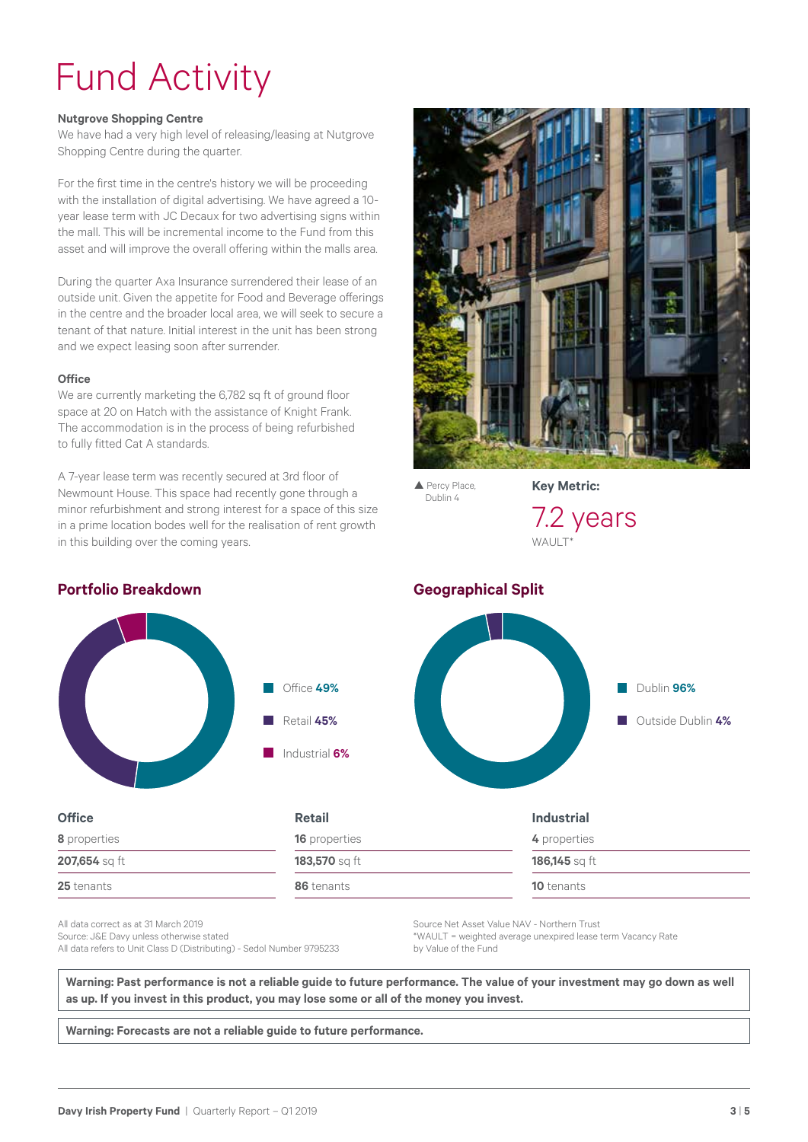# Fund Activity

#### **Nutgrove Shopping Centre**

We have had a very high level of releasing/leasing at Nutgrove Shopping Centre during the quarter.

For the first time in the centre's history we will be proceeding with the installation of digital advertising. We have agreed a 10 year lease term with JC Decaux for two advertising signs within the mall. This will be incremental income to the Fund from this asset and will improve the overall offering within the malls area.

During the quarter Axa Insurance surrendered their lease of an outside unit. Given the appetite for Food and Beverage offerings in the centre and the broader local area, we will seek to secure a tenant of that nature. Initial interest in the unit has been strong and we expect leasing soon after surrender.

#### **Office**

We are currently marketing the 6,782 sq ft of ground floor space at 20 on Hatch with the assistance of Knight Frank. The accommodation is in the process of being refurbished to fully fitted Cat A standards.

A 7-year lease term was recently secured at 3rd floor of Newmount House. This space had recently gone through a minor refurbishment and strong interest for a space of this size in a prime location bodes well for the realisation of rent growth in this building over the coming years.



 $\blacktriangle$  Percy Place, Dublin 4

**Key Metric:**



Dublin **96%**

**Outside Dublin 4%** 

### **Portfolio Breakdown Geographical Split**

**8** properties **207,654** sq ft **25** tenants



| <b>Retail</b>        | <b>Industrial</b> |
|----------------------|-------------------|
| <b>16</b> properties | 4 properties      |
| 183,570 sq ft        | 186,145 sq ft     |
| 86 tenants           | <b>10</b> tenants |

All data correct as at 31 March 2019 Source: J&E Davy unless otherwise stated All data refers to Unit Class D (Distributing) - Sedol Number 9795233 Source Net Asset Value NAV - Northern Trust \*WAULT = weighted average unexpired lease term Vacancy Rate by Value of the Fund

**Warning: Past performance is not a reliable guide to future performance. The value of your investment may go down as well as up. If you invest in this product, you may lose some or all of the money you invest.**

**Warning: Forecasts are not a reliable guide to future performance.**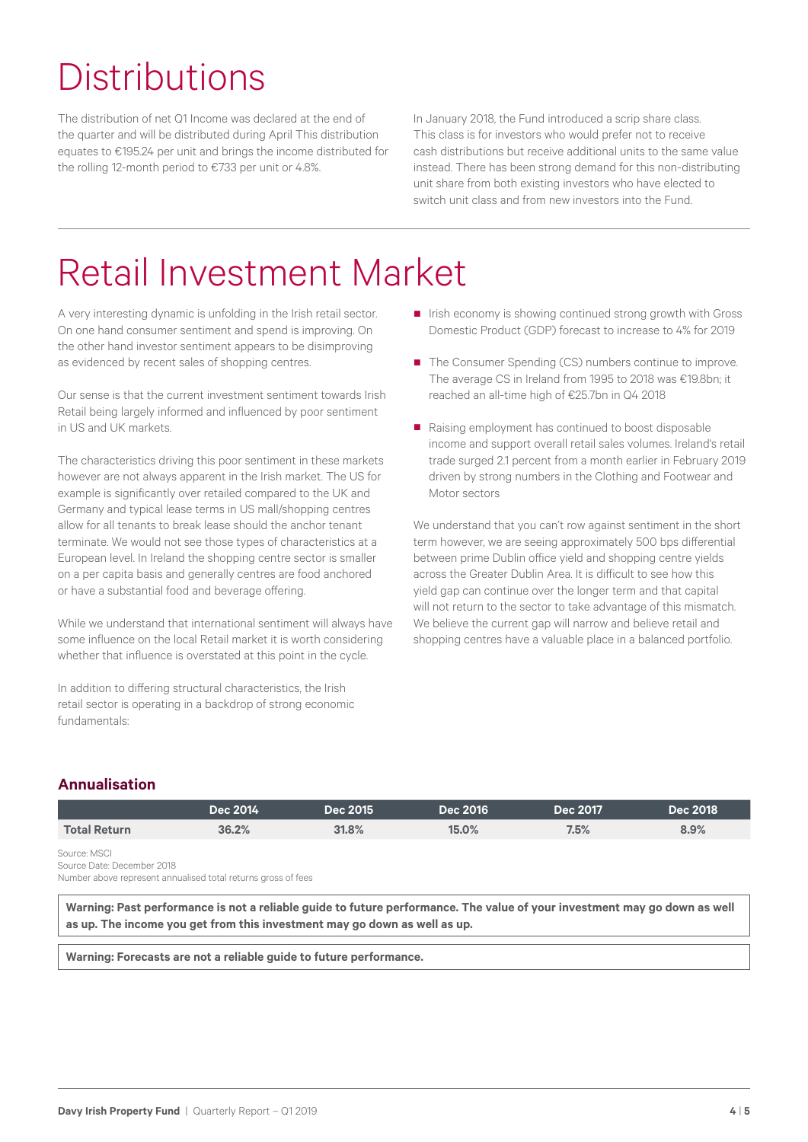# **Distributions**

The distribution of net Q1 Income was declared at the end of the quarter and will be distributed during April This distribution equates to €195.24 per unit and brings the income distributed for the rolling 12-month period to €733 per unit or 4.8%.

In January 2018, the Fund introduced a scrip share class. This class is for investors who would prefer not to receive cash distributions but receive additional units to the same value instead. There has been strong demand for this non-distributing unit share from both existing investors who have elected to switch unit class and from new investors into the Fund.

# Retail Investment Market

A very interesting dynamic is unfolding in the Irish retail sector. On one hand consumer sentiment and spend is improving. On the other hand investor sentiment appears to be disimproving as evidenced by recent sales of shopping centres.

Our sense is that the current investment sentiment towards Irish Retail being largely informed and influenced by poor sentiment in US and UK markets.

The characteristics driving this poor sentiment in these markets however are not always apparent in the Irish market. The US for example is significantly over retailed compared to the UK and Germany and typical lease terms in US mall/shopping centres allow for all tenants to break lease should the anchor tenant terminate. We would not see those types of characteristics at a European level. In Ireland the shopping centre sector is smaller on a per capita basis and generally centres are food anchored or have a substantial food and beverage offering.

While we understand that international sentiment will always have some influence on the local Retail market it is worth considering whether that influence is overstated at this point in the cycle.

In addition to differing structural characteristics, the Irish retail sector is operating in a backdrop of strong economic fundamentals:

- Irish economy is showing continued strong growth with Gross Domestic Product (GDP) forecast to increase to 4% for 2019
- The Consumer Spending (CS) numbers continue to improve. The average CS in Ireland from 1995 to 2018 was €19.8bn; it reached an all-time high of €25.7bn in Q4 2018
- Raising employment has continued to boost disposable income and support overall retail sales volumes. Ireland's retail trade surged 2.1 percent from a month earlier in February 2019 driven by strong numbers in the Clothing and Footwear and Motor sectors

We understand that you can't row against sentiment in the short term however, we are seeing approximately 500 bps differential between prime Dublin office yield and shopping centre yields across the Greater Dublin Area. It is difficult to see how this yield gap can continue over the longer term and that capital will not return to the sector to take advantage of this mismatch. We believe the current gap will narrow and believe retail and shopping centres have a valuable place in a balanced portfolio.

### **Annualisation**

|                                                                                                                                                                                                                                                                                                                                                                                                                              | Dec 2014 | <b>Dec 2015</b> | <b>Dec 2016</b> | Dec 2017 | <b>Dec 2018</b> |
|------------------------------------------------------------------------------------------------------------------------------------------------------------------------------------------------------------------------------------------------------------------------------------------------------------------------------------------------------------------------------------------------------------------------------|----------|-----------------|-----------------|----------|-----------------|
| <b>Total Return</b>                                                                                                                                                                                                                                                                                                                                                                                                          | 36.2%    | 31.8%           | 15.0%           | 7.5%     | 8.9%            |
| Source: MSCI<br>Source Date: December 2018                                                                                                                                                                                                                                                                                                                                                                                   |          |                 |                 |          |                 |
| $\mathbf{r} = \mathbf{r} = \mathbf{r} = \mathbf{r} = \mathbf{r} = \mathbf{r} = \mathbf{r} = \mathbf{r} = \mathbf{r} = \mathbf{r} = \mathbf{r} = \mathbf{r} = \mathbf{r} = \mathbf{r} = \mathbf{r} = \mathbf{r} = \mathbf{r} = \mathbf{r} = \mathbf{r} = \mathbf{r} = \mathbf{r} = \mathbf{r} = \mathbf{r} = \mathbf{r} = \mathbf{r} = \mathbf{r} = \mathbf{r} = \mathbf{r} = \mathbf{r} = \mathbf{r} = \mathbf{r} = \mathbf$ |          |                 |                 |          |                 |

Number above represent annualised total returns gross of fees

**Warning: Past performance is not a reliable guide to future performance. The value of your investment may go down as well as up. The income you get from this investment may go down as well as up.**

**Warning: Forecasts are not a reliable guide to future performance.**